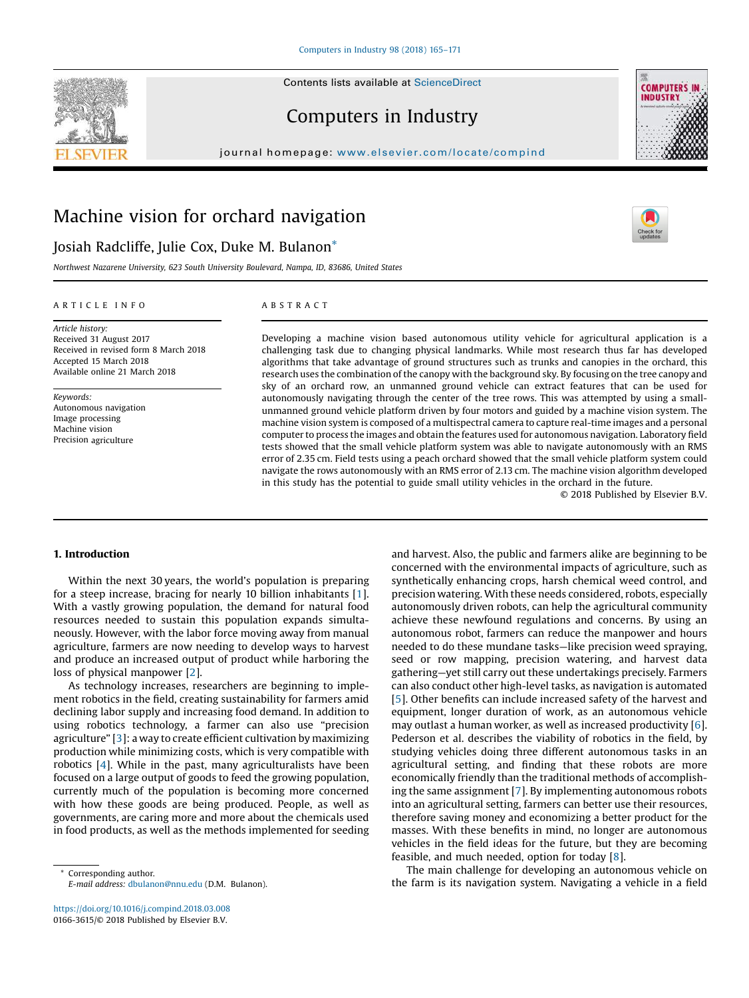Contents lists available at [ScienceDirect](http://www.sciencedirect.com/science/journal/01663615)





## Computers in Industry

journal homepage: <www.elsevier.com/locate/compind>

# Machine vision for orchard navigation

## Josiah Radcliffe, Julie Cox, Duke M. Bulanon\*

Northwest Nazarene University, 623 South University Boulevard, Nampa, ID, 83686, United States

#### A R T I C L E I N F O

Article history: Received 31 August 2017 Received in revised form 8 March 2018 Accepted 15 March 2018 Available online 21 March 2018

Keywords: Autonomous navigation Image processing Machine vision Precision agriculture

## A B S T R A C T

Developing a machine vision based autonomous utility vehicle for agricultural application is a challenging task due to changing physical landmarks. While most research thus far has developed algorithms that take advantage of ground structures such as trunks and canopies in the orchard, this research uses the combination of the canopy with the background sky. By focusing on the tree canopy and sky of an orchard row, an unmanned ground vehicle can extract features that can be used for autonomously navigating through the center of the tree rows. This was attempted by using a smallunmanned ground vehicle platform driven by four motors and guided by a machine vision system. The machine vision system is composed of a multispectral camera to capture real-time images and a personal computer to process the images and obtain the features used for autonomous navigation. Laboratory field tests showed that the small vehicle platform system was able to navigate autonomously with an RMS error of 2.35 cm. Field tests using a peach orchard showed that the small vehicle platform system could navigate the rows autonomously with an RMS error of 2.13 cm. The machine vision algorithm developed in this study has the potential to guide small utility vehicles in the orchard in the future.

© 2018 Published by Elsevier B.V.

## 1. Introduction

Within the next 30 years, the world's population is preparing for a steep increase, bracing for nearly 10 billion inhabitants [[1](#page-5-0)]. With a vastly growing population, the demand for natural food resources needed to sustain this population expands simultaneously. However, with the labor force moving away from manual agriculture, farmers are now needing to develop ways to harvest and produce an increased output of product while harboring the loss of physical manpower [[2\]](#page-5-0).

As technology increases, researchers are beginning to implement robotics in the field, creating sustainability for farmers amid declining labor supply and increasing food demand. In addition to using robotics technology, a farmer can also use "precision agriculture" [\[3](#page-5-0)]: a way to create efficient cultivation by maximizing production while minimizing costs, which is very compatible with robotics [[4](#page-5-0)]. While in the past, many agriculturalists have been focused on a large output of goods to feed the growing population, currently much of the population is becoming more concerned with how these goods are being produced. People, as well as governments, are caring more and more about the chemicals used in food products, as well as the methods implemented for seeding

Corresponding author. E-mail address: [dbulanon@nnu.edu](mailto:dbulanon@nnu.edu) (D.M. Bulanon).

<https://doi.org/10.1016/j.compind.2018.03.008> 0166-3615/© 2018 Published by Elsevier B.V.

and harvest. Also, the public and farmers alike are beginning to be concerned with the environmental impacts of agriculture, such as synthetically enhancing crops, harsh chemical weed control, and precision watering. With these needs considered, robots, especially autonomously driven robots, can help the agricultural community achieve these newfound regulations and concerns. By using an autonomous robot, farmers can reduce the manpower and hours needed to do these mundane tasks—like precision weed spraying, seed or row mapping, precision watering, and harvest data gathering—yet still carry out these undertakings precisely. Farmers can also conduct other high-level tasks, as navigation is automated [\[5](#page-6-0)]. Other benefits can include increased safety of the harvest and equipment, longer duration of work, as an autonomous vehicle may outlast a human worker, as well as increased productivity [[6](#page-6-0)]. Pederson et al. describes the viability of robotics in the field, by studying vehicles doing three different autonomous tasks in an agricultural setting, and finding that these robots are more economically friendly than the traditional methods of accomplishing the same assignment [[7\]](#page-6-0). By implementing autonomous robots into an agricultural setting, farmers can better use their resources, therefore saving money and economizing a better product for the masses. With these benefits in mind, no longer are autonomous vehicles in the field ideas for the future, but they are becoming feasible, and much needed, option for today [[8](#page-6-0)].

The main challenge for developing an autonomous vehicle on the farm is its navigation system. Navigating a vehicle in a field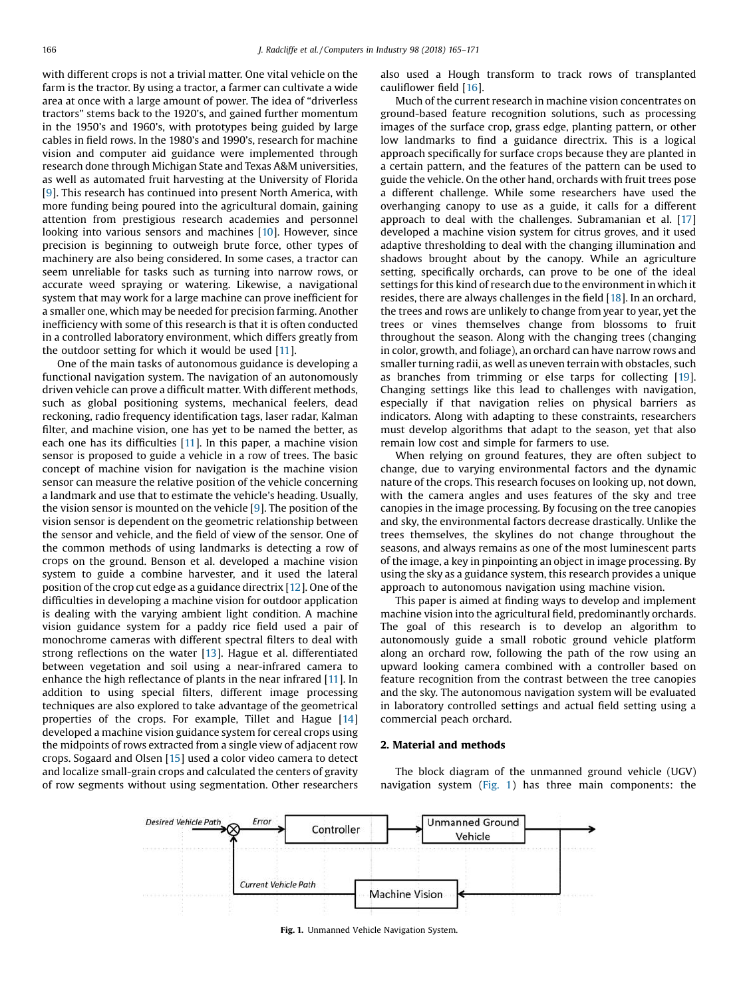with different crops is not a trivial matter. One vital vehicle on the farm is the tractor. By using a tractor, a farmer can cultivate a wide area at once with a large amount of power. The idea of "driverless tractors" stems back to the 1920's, and gained further momentum in the 1950's and 1960's, with prototypes being guided by large cables in field rows. In the 1980's and 1990's, research for machine vision and computer aid guidance were implemented through research done through Michigan State and Texas A&M universities, as well as automated fruit harvesting at the University of Florida [[9](#page-6-0)]. This research has continued into present North America, with more funding being poured into the agricultural domain, gaining attention from prestigious research academies and personnel looking into various sensors and machines [\[10](#page-6-0)]. However, since precision is beginning to outweigh brute force, other types of machinery are also being considered. In some cases, a tractor can seem unreliable for tasks such as turning into narrow rows, or accurate weed spraying or watering. Likewise, a navigational system that may work for a large machine can prove inefficient for a smaller one, which may be needed for precision farming. Another inefficiency with some of this research is that it is often conducted in a controlled laboratory environment, which differs greatly from the outdoor setting for which it would be used [\[11](#page-6-0)].

One of the main tasks of autonomous guidance is developing a functional navigation system. The navigation of an autonomously driven vehicle can prove a difficult matter. With different methods, such as global positioning systems, mechanical feelers, dead reckoning, radio frequency identification tags, laser radar, Kalman filter, and machine vision, one has yet to be named the better, as each one has its difficulties [[11](#page-6-0)]. In this paper, a machine vision sensor is proposed to guide a vehicle in a row of trees. The basic concept of machine vision for navigation is the machine vision sensor can measure the relative position of the vehicle concerning a landmark and use that to estimate the vehicle's heading. Usually, the vision sensor is mounted on the vehicle [\[9](#page-6-0)]. The position of the vision sensor is dependent on the geometric relationship between the sensor and vehicle, and the field of view of the sensor. One of the common methods of using landmarks is detecting a row of crops on the ground. Benson et al. developed a machine vision system to guide a combine harvester, and it used the lateral position of the crop cut edge as a guidance directrix [\[12](#page-6-0)]. One of the difficulties in developing a machine vision for outdoor application is dealing with the varying ambient light condition. A machine vision guidance system for a paddy rice field used a pair of monochrome cameras with different spectral filters to deal with strong reflections on the water [\[13](#page-6-0)]. Hague et al. differentiated between vegetation and soil using a near-infrared camera to enhance the high reflectance of plants in the near infrared [\[11\]](#page-6-0). In addition to using special filters, different image processing techniques are also explored to take advantage of the geometrical properties of the crops. For example, Tillet and Hague [\[14\]](#page-6-0) developed a machine vision guidance system for cereal crops using the midpoints of rows extracted from a single view of adjacent row crops. Sogaard and Olsen [[15\]](#page-6-0) used a color video camera to detect and localize small-grain crops and calculated the centers of gravity of row segments without using segmentation. Other researchers

also used a Hough transform to track rows of transplanted cauliflower field [[16](#page-6-0)].

Much of the current research in machine vision concentrates on ground-based feature recognition solutions, such as processing images of the surface crop, grass edge, planting pattern, or other low landmarks to find a guidance directrix. This is a logical approach specifically for surface crops because they are planted in a certain pattern, and the features of the pattern can be used to guide the vehicle. On the other hand, orchards with fruit trees pose a different challenge. While some researchers have used the overhanging canopy to use as a guide, it calls for a different approach to deal with the challenges. Subramanian et al. [[17](#page-6-0)] developed a machine vision system for citrus groves, and it used adaptive thresholding to deal with the changing illumination and shadows brought about by the canopy. While an agriculture setting, specifically orchards, can prove to be one of the ideal settings for this kind of research due to the environment in which it resides, there are always challenges in the field [\[18](#page-6-0)]. In an orchard, the trees and rows are unlikely to change from year to year, yet the trees or vines themselves change from blossoms to fruit throughout the season. Along with the changing trees (changing in color, growth, and foliage), an orchard can have narrow rows and smaller turning radii, as well as uneven terrain with obstacles, such as branches from trimming or else tarps for collecting [\[19\]](#page-6-0). Changing settings like this lead to challenges with navigation, especially if that navigation relies on physical barriers as indicators. Along with adapting to these constraints, researchers must develop algorithms that adapt to the season, yet that also remain low cost and simple for farmers to use.

When relying on ground features, they are often subject to change, due to varying environmental factors and the dynamic nature of the crops. This research focuses on looking up, not down, with the camera angles and uses features of the sky and tree canopies in the image processing. By focusing on the tree canopies and sky, the environmental factors decrease drastically. Unlike the trees themselves, the skylines do not change throughout the seasons, and always remains as one of the most luminescent parts of the image, a key in pinpointing an object in image processing. By using the sky as a guidance system, this research provides a unique approach to autonomous navigation using machine vision.

This paper is aimed at finding ways to develop and implement machine vision into the agricultural field, predominantly orchards. The goal of this research is to develop an algorithm to autonomously guide a small robotic ground vehicle platform along an orchard row, following the path of the row using an upward looking camera combined with a controller based on feature recognition from the contrast between the tree canopies and the sky. The autonomous navigation system will be evaluated in laboratory controlled settings and actual field setting using a commercial peach orchard.

## 2. Material and methods

The block diagram of the unmanned ground vehicle (UGV) navigation system (Fig. 1) has three main components: the



Fig. 1. Unmanned Vehicle Navigation System.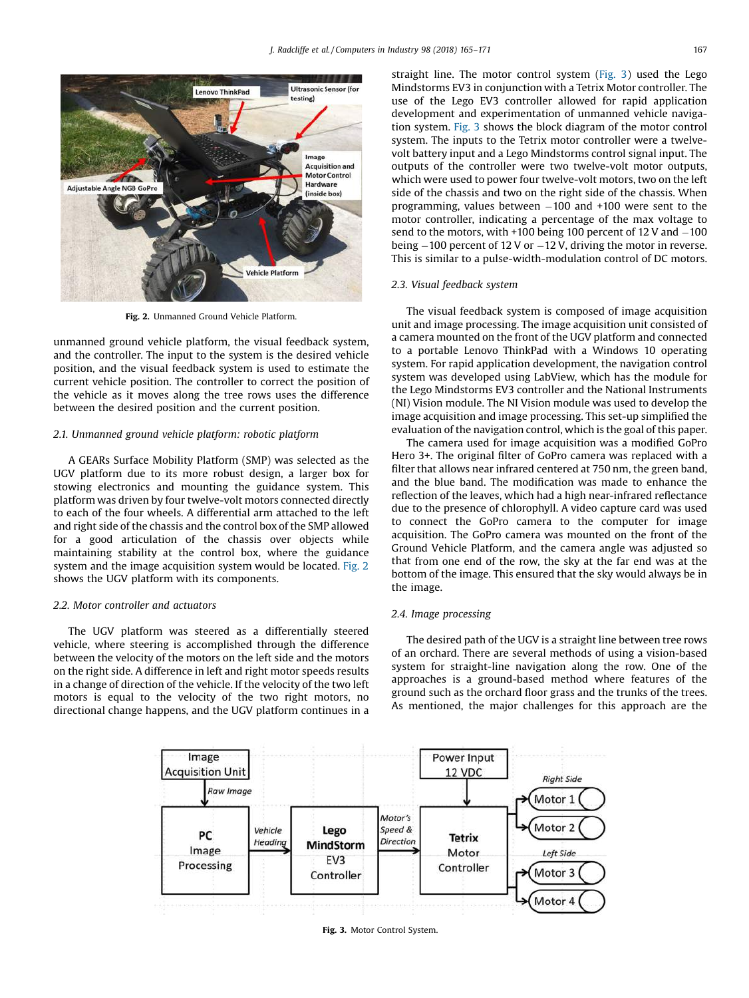

Fig. 2. Unmanned Ground Vehicle Platform.

unmanned ground vehicle platform, the visual feedback system, and the controller. The input to the system is the desired vehicle position, and the visual feedback system is used to estimate the current vehicle position. The controller to correct the position of the vehicle as it moves along the tree rows uses the difference between the desired position and the current position.

## 2.1. Unmanned ground vehicle platform: robotic platform

A GEARs Surface Mobility Platform (SMP) was selected as the UGV platform due to its more robust design, a larger box for stowing electronics and mounting the guidance system. This platform was driven by four twelve-volt motors connected directly to each of the four wheels. A differential arm attached to the left and right side of the chassis and the control box of the SMP allowed for a good articulation of the chassis over objects while maintaining stability at the control box, where the guidance system and the image acquisition system would be located. Fig. 2 shows the UGV platform with its components.

## 2.2. Motor controller and actuators

The UGV platform was steered as a differentially steered vehicle, where steering is accomplished through the difference between the velocity of the motors on the left side and the motors on the right side. A difference in left and right motor speeds results in a change of direction of the vehicle. If the velocity of the two left motors is equal to the velocity of the two right motors, no directional change happens, and the UGV platform continues in a straight line. The motor control system (Fig. 3) used the Lego Mindstorms EV3 in conjunction with a Tetrix Motor controller. The use of the Lego EV3 controller allowed for rapid application development and experimentation of unmanned vehicle navigation system. Fig. 3 shows the block diagram of the motor control system. The inputs to the Tetrix motor controller were a twelvevolt battery input and a Lego Mindstorms control signal input. The outputs of the controller were two twelve-volt motor outputs, which were used to power four twelve-volt motors, two on the left side of the chassis and two on the right side of the chassis. When programming, values between  $-100$  and  $+100$  were sent to the motor controller, indicating a percentage of the max voltage to send to the motors, with  $+100$  being 100 percent of 12 V and  $-100$ being  $-100$  percent of 12 V or  $-12$  V, driving the motor in reverse. This is similar to a pulse-width-modulation control of DC motors.

## 2.3. Visual feedback system

The visual feedback system is composed of image acquisition unit and image processing. The image acquisition unit consisted of a camera mounted on the front of the UGV platform and connected to a portable Lenovo ThinkPad with a Windows 10 operating system. For rapid application development, the navigation control system was developed using LabView, which has the module for the Lego Mindstorms EV3 controller and the National Instruments (NI) Vision module. The NI Vision module was used to develop the image acquisition and image processing. This set-up simplified the evaluation of the navigation control, which is the goal of this paper.

The camera used for image acquisition was a modified GoPro Hero 3+. The original filter of GoPro camera was replaced with a filter that allows near infrared centered at 750 nm, the green band, and the blue band. The modification was made to enhance the reflection of the leaves, which had a high near-infrared reflectance due to the presence of chlorophyll. A video capture card was used to connect the GoPro camera to the computer for image acquisition. The GoPro camera was mounted on the front of the Ground Vehicle Platform, and the camera angle was adjusted so that from one end of the row, the sky at the far end was at the bottom of the image. This ensured that the sky would always be in the image.

## 2.4. Image processing

The desired path of the UGV is a straight line between tree rows of an orchard. There are several methods of using a vision-based system for straight-line navigation along the row. One of the approaches is a ground-based method where features of the ground such as the orchard floor grass and the trunks of the trees. As mentioned, the major challenges for this approach are the



Fig. 3. Motor Control System.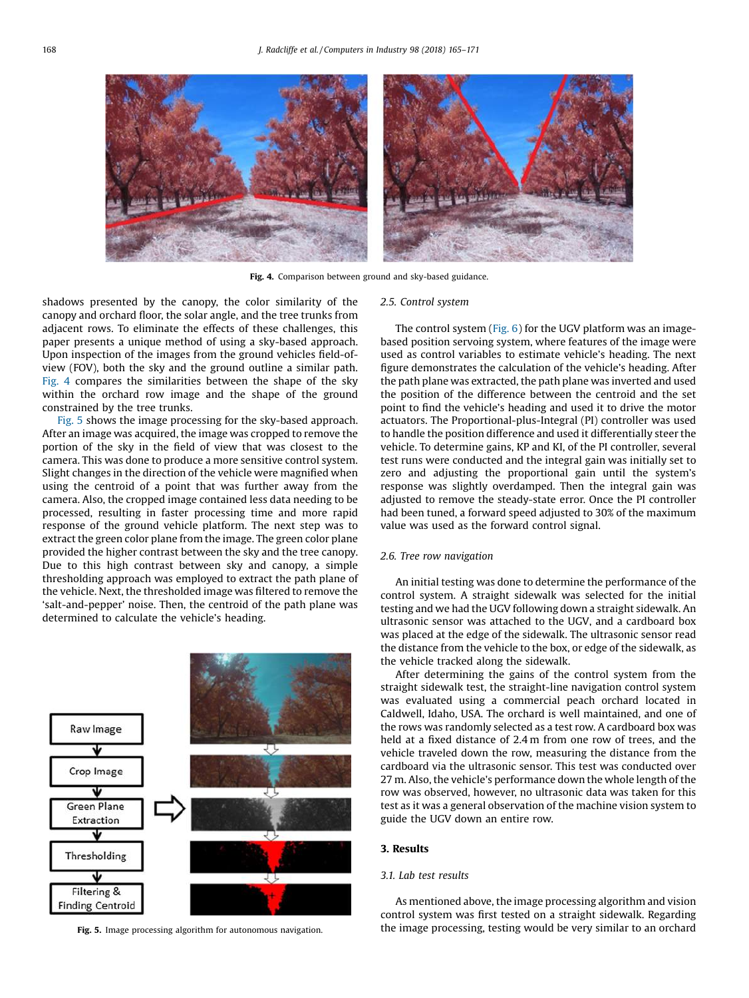

Fig. 4. Comparison between ground and sky-based guidance.

shadows presented by the canopy, the color similarity of the canopy and orchard floor, the solar angle, and the tree trunks from adjacent rows. To eliminate the effects of these challenges, this paper presents a unique method of using a sky-based approach. Upon inspection of the images from the ground vehicles field-ofview (FOV), both the sky and the ground outline a similar path. Fig. 4 compares the similarities between the shape of the sky within the orchard row image and the shape of the ground constrained by the tree trunks.

Fig. 5 shows the image processing for the sky-based approach. After an image was acquired, the image was cropped to remove the portion of the sky in the field of view that was closest to the camera. This was done to produce a more sensitive control system. Slight changes in the direction of the vehicle were magnified when using the centroid of a point that was further away from the camera. Also, the cropped image contained less data needing to be processed, resulting in faster processing time and more rapid response of the ground vehicle platform. The next step was to extract the green color plane from the image. The green color plane provided the higher contrast between the sky and the tree canopy. Due to this high contrast between sky and canopy, a simple thresholding approach was employed to extract the path plane of the vehicle. Next, the thresholded image was filtered to remove the 'salt-and-pepper' noise. Then, the centroid of the path plane was determined to calculate the vehicle's heading.



Fig. 5. Image processing algorithm for autonomous navigation.

#### 2.5. Control system

The control system ([Fig.](#page-4-0) 6) for the UGV platform was an imagebased position servoing system, where features of the image were used as control variables to estimate vehicle's heading. The next figure demonstrates the calculation of the vehicle's heading. After the path plane was extracted, the path plane was inverted and used the position of the difference between the centroid and the set point to find the vehicle's heading and used it to drive the motor actuators. The Proportional-plus-Integral (PI) controller was used to handle the position difference and used it differentially steer the vehicle. To determine gains, KP and KI, of the PI controller, several test runs were conducted and the integral gain was initially set to zero and adjusting the proportional gain until the system's response was slightly overdamped. Then the integral gain was adjusted to remove the steady-state error. Once the PI controller had been tuned, a forward speed adjusted to 30% of the maximum value was used as the forward control signal.

## 2.6. Tree row navigation

An initial testing was done to determine the performance of the control system. A straight sidewalk was selected for the initial testing and we had the UGV following down a straight sidewalk. An ultrasonic sensor was attached to the UGV, and a cardboard box was placed at the edge of the sidewalk. The ultrasonic sensor read the distance from the vehicle to the box, or edge of the sidewalk, as the vehicle tracked along the sidewalk.

After determining the gains of the control system from the straight sidewalk test, the straight-line navigation control system was evaluated using a commercial peach orchard located in Caldwell, Idaho, USA. The orchard is well maintained, and one of the rows was randomly selected as a test row. A cardboard box was held at a fixed distance of 2.4 m from one row of trees, and the vehicle traveled down the row, measuring the distance from the cardboard via the ultrasonic sensor. This test was conducted over 27 m. Also, the vehicle's performance down the whole length of the row was observed, however, no ultrasonic data was taken for this test as it was a general observation of the machine vision system to guide the UGV down an entire row.

## 3. Results

## 3.1. Lab test results

As mentioned above, the image processing algorithm and vision control system was first tested on a straight sidewalk. Regarding the image processing, testing would be very similar to an orchard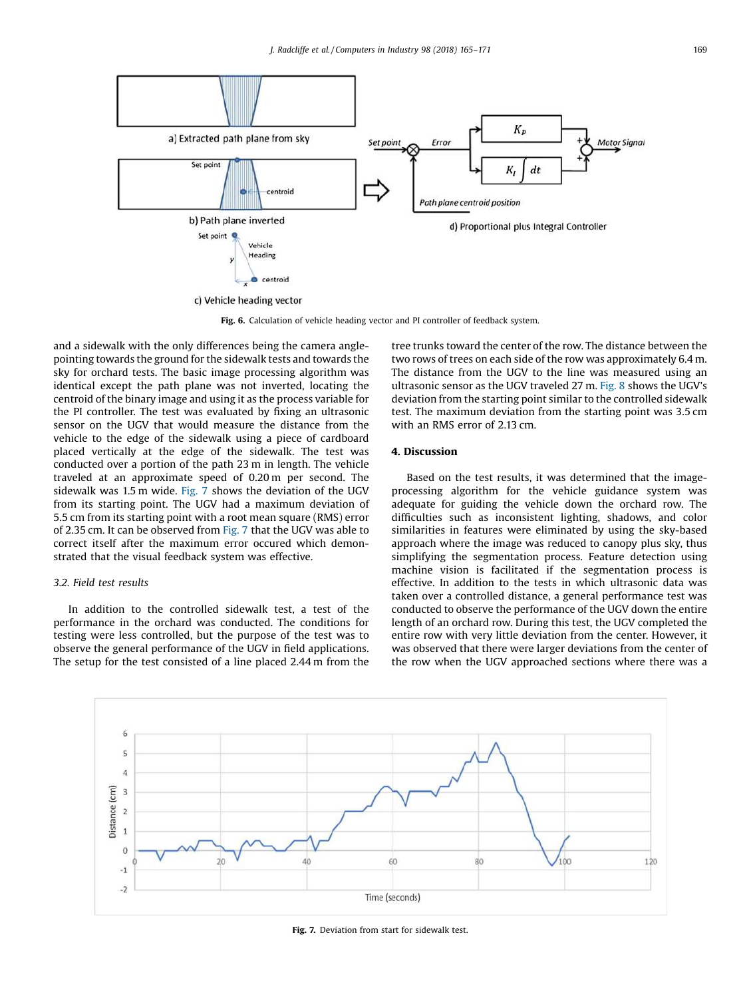<span id="page-4-0"></span>

Fig. 6. Calculation of vehicle heading vector and PI controller of feedback system.

and a sidewalk with the only differences being the camera anglepointing towards the ground for the sidewalk tests and towards the sky for orchard tests. The basic image processing algorithm was identical except the path plane was not inverted, locating the centroid of the binary image and using it as the process variable for the PI controller. The test was evaluated by fixing an ultrasonic sensor on the UGV that would measure the distance from the vehicle to the edge of the sidewalk using a piece of cardboard placed vertically at the edge of the sidewalk. The test was conducted over a portion of the path 23 m in length. The vehicle traveled at an approximate speed of 0.20 m per second. The sidewalk was 1.5 m wide. Fig. 7 shows the deviation of the UGV from its starting point. The UGV had a maximum deviation of 5.5 cm from its starting point with a root mean square (RMS) error of 2.35 cm. It can be observed from Fig. 7 that the UGV was able to correct itself after the maximum error occured which demonstrated that the visual feedback system was effective.

## 3.2. Field test results

In addition to the controlled sidewalk test, a test of the performance in the orchard was conducted. The conditions for testing were less controlled, but the purpose of the test was to observe the general performance of the UGV in field applications. The setup for the test consisted of a line placed 2.44 m from the

tree trunks toward the center of the row. The distance between the two rows of trees on each side of the row was approximately 6.4 m. The distance from the UGV to the line was measured using an ultrasonic sensor as the UGV traveled 27 m. [Fig.](#page-5-0) 8 shows the UGV's deviation from the starting point similar to the controlled sidewalk test. The maximum deviation from the starting point was 3.5 cm with an RMS error of 2.13 cm.

## 4. Discussion

Based on the test results, it was determined that the imageprocessing algorithm for the vehicle guidance system was adequate for guiding the vehicle down the orchard row. The difficulties such as inconsistent lighting, shadows, and color similarities in features were eliminated by using the sky-based approach where the image was reduced to canopy plus sky, thus simplifying the segmentation process. Feature detection using machine vision is facilitated if the segmentation process is effective. In addition to the tests in which ultrasonic data was taken over a controlled distance, a general performance test was conducted to observe the performance of the UGV down the entire length of an orchard row. During this test, the UGV completed the entire row with very little deviation from the center. However, it was observed that there were larger deviations from the center of the row when the UGV approached sections where there was a



Fig. 7. Deviation from start for sidewalk test.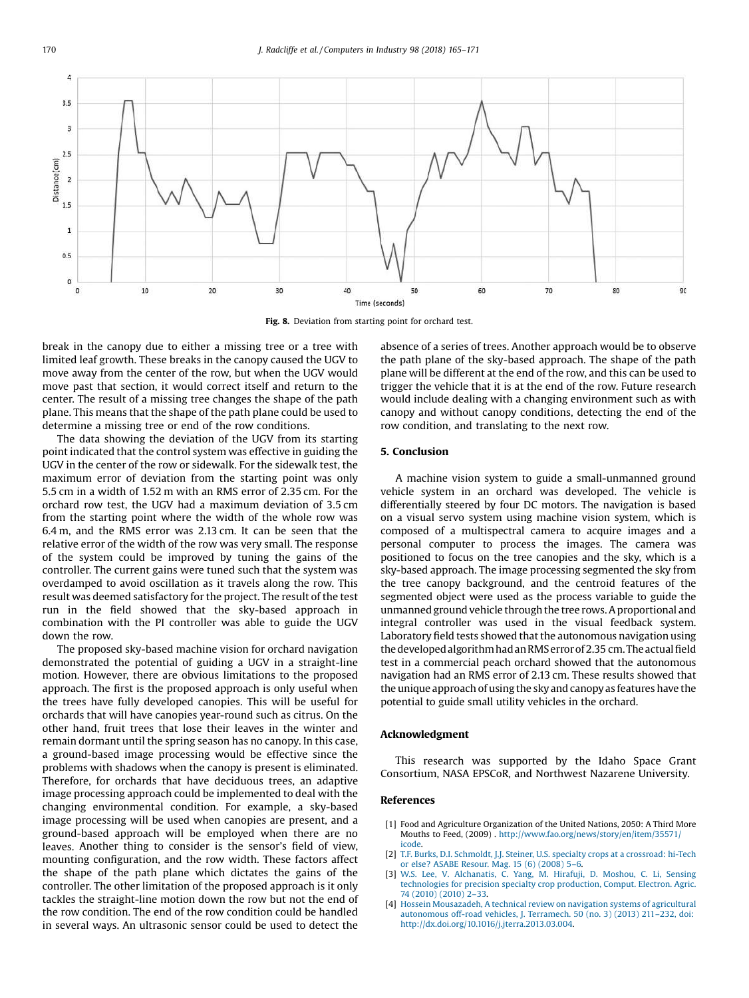<span id="page-5-0"></span>

Fig. 8. Deviation from starting point for orchard test.

break in the canopy due to either a missing tree or a tree with limited leaf growth. These breaks in the canopy caused the UGV to move away from the center of the row, but when the UGV would move past that section, it would correct itself and return to the center. The result of a missing tree changes the shape of the path plane. This means that the shape of the path plane could be used to determine a missing tree or end of the row conditions.

The data showing the deviation of the UGV from its starting point indicated that the control system was effective in guiding the UGV in the center of the row or sidewalk. For the sidewalk test, the maximum error of deviation from the starting point was only 5.5 cm in a width of 1.52 m with an RMS error of 2.35 cm. For the orchard row test, the UGV had a maximum deviation of 3.5 cm from the starting point where the width of the whole row was 6.4 m, and the RMS error was 2.13 cm. It can be seen that the relative error of the width of the row was very small. The response of the system could be improved by tuning the gains of the controller. The current gains were tuned such that the system was overdamped to avoid oscillation as it travels along the row. This result was deemed satisfactory for the project. The result of the test run in the field showed that the sky-based approach in combination with the PI controller was able to guide the UGV down the row.

The proposed sky-based machine vision for orchard navigation demonstrated the potential of guiding a UGV in a straight-line motion. However, there are obvious limitations to the proposed approach. The first is the proposed approach is only useful when the trees have fully developed canopies. This will be useful for orchards that will have canopies year-round such as citrus. On the other hand, fruit trees that lose their leaves in the winter and remain dormant until the spring season has no canopy. In this case, a ground-based image processing would be effective since the problems with shadows when the canopy is present is eliminated. Therefore, for orchards that have deciduous trees, an adaptive image processing approach could be implemented to deal with the changing environmental condition. For example, a sky-based image processing will be used when canopies are present, and a ground-based approach will be employed when there are no leaves. Another thing to consider is the sensor's field of view, mounting configuration, and the row width. These factors affect the shape of the path plane which dictates the gains of the controller. The other limitation of the proposed approach is it only tackles the straight-line motion down the row but not the end of the row condition. The end of the row condition could be handled in several ways. An ultrasonic sensor could be used to detect the

absence of a series of trees. Another approach would be to observe the path plane of the sky-based approach. The shape of the path plane will be different at the end of the row, and this can be used to trigger the vehicle that it is at the end of the row. Future research would include dealing with a changing environment such as with canopy and without canopy conditions, detecting the end of the row condition, and translating to the next row.

## 5. Conclusion

A machine vision system to guide a small-unmanned ground vehicle system in an orchard was developed. The vehicle is differentially steered by four DC motors. The navigation is based on a visual servo system using machine vision system, which is composed of a multispectral camera to acquire images and a personal computer to process the images. The camera was positioned to focus on the tree canopies and the sky, which is a sky-based approach. The image processing segmented the sky from the tree canopy background, and the centroid features of the segmented object were used as the process variable to guide the unmanned ground vehicle through the tree rows. A proportional and integral controller was used in the visual feedback system. Laboratory field tests showed that the autonomous navigation using the developed algorithmhad anRMS errorof 2.35 cm. The actualfield test in a commercial peach orchard showed that the autonomous navigation had an RMS error of 2.13 cm. These results showed that the unique approach of using the sky and canopy as features have the potential to guide small utility vehicles in the orchard.

#### Acknowledgment

This research was supported by the Idaho Space Grant Consortium, NASA EPSCoR, and Northwest Nazarene University.

#### References

- [1] Food and Agriculture Organization of the United Nations, 2050: A Third More Mouths to Feed, (2009) . [http://www.fao.org/news/story/en/item/35571/](http://www.fao.org/news/story/en/item/35571/icode) [icode.](http://www.fao.org/news/story/en/item/35571/icode)
- [2] T.F. Burks, D.I. Schmoldt, J.J. Steiner, U.S. specialty crops at a [crossroad:](http://refhub.elsevier.com/S0166-3615(17)30538-9/sbref0010) hi-Tech or else? ASABE [Resour.](http://refhub.elsevier.com/S0166-3615(17)30538-9/sbref0010) Mag. 15 (6) (2008) 5–6.
- [3] W.S. Lee, V. [Alchanatis,](http://refhub.elsevier.com/S0166-3615(17)30538-9/sbref0015) C. Yang, M. Hirafuji, D. Moshou, C. Li, Sensing [technologies](http://refhub.elsevier.com/S0166-3615(17)30538-9/sbref0015) for precision specialty crop production, Comput. Electron. Agric. 74 [\(2010\)](http://refhub.elsevier.com/S0166-3615(17)30538-9/sbref0015) (2010) 2–33.
- [4] Hossein [Mousazadeh,](http://refhub.elsevier.com/S0166-3615(17)30538-9/sbref0020) A technical review on navigation systems of agricultural [autonomous](http://refhub.elsevier.com/S0166-3615(17)30538-9/sbref0020) off-road vehicles, J. Terramech. 50 (no. 3) (2013) 211–232, doi: [http://dx.doi.org/10.1016/j.jterra.2013.03.004.](http://dx.doi.org/10.1016/j.jterra.2013.03.004)